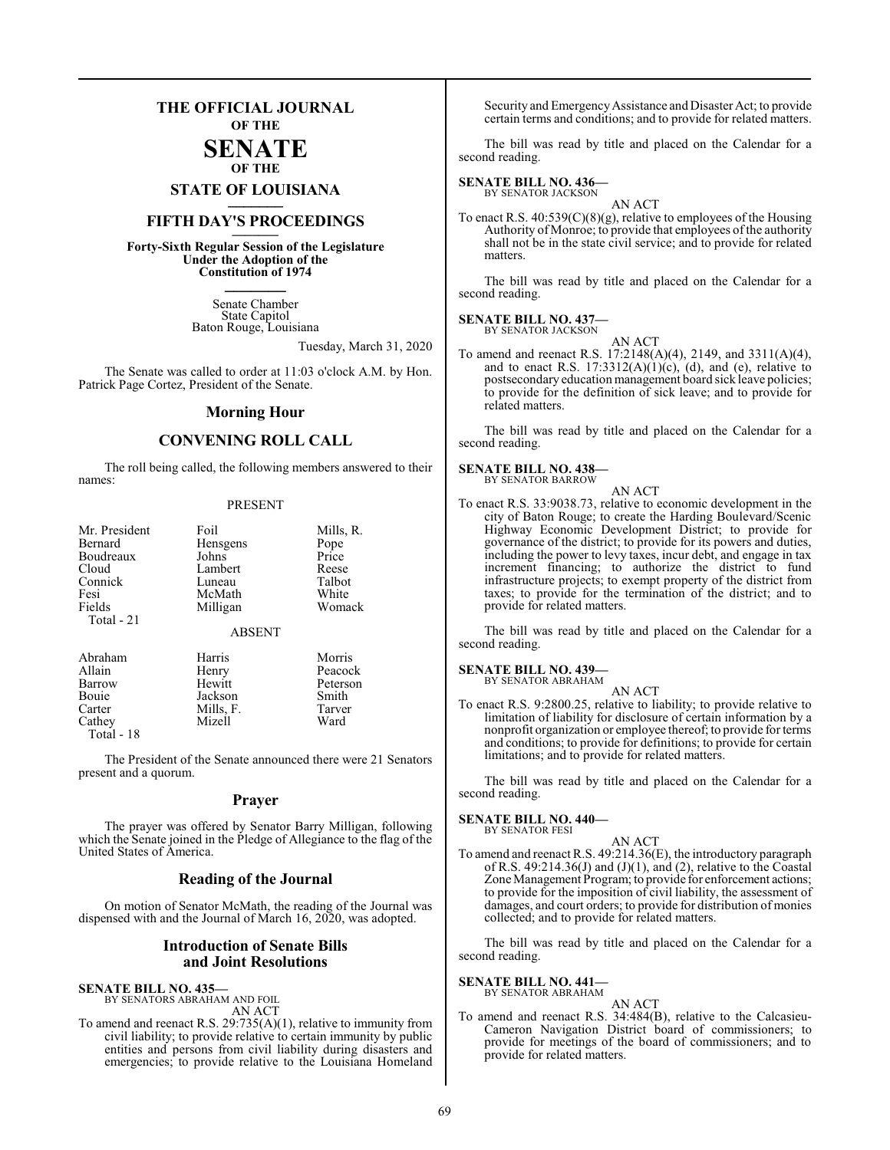### **THE OFFICIAL JOURNAL OF THE**

### **SENATE OF THE**

# **STATE OF LOUISIANA \_\_\_\_\_\_\_**

### **FIFTH DAY'S PROCEEDINGS \_\_\_\_\_\_\_**

**Forty-Sixth Regular Session of the Legislature Under the Adoption of the Constitution of 1974 \_\_\_\_\_\_\_**

> Senate Chamber State Capitol Baton Rouge, Louisiana

> > Tuesday, March 31, 2020

The Senate was called to order at 11:03 o'clock A.M. by Hon. Patrick Page Cortez, President of the Senate.

### **Morning Hour**

### **CONVENING ROLL CALL**

The roll being called, the following members answered to their names:

### PRESENT

| Mr. President<br>Bernard<br>Boudreaux<br>Cloud<br>Connick<br>Fesi<br>Fields<br>Total - 21 | Foil<br>Hensgens<br>Johns<br>Lambert<br>Luneau<br>McMath<br>Milligan | Mills, R.<br>Pope<br>Price<br>Reese<br>Talbot<br>White<br>Womack |  |  |  |
|-------------------------------------------------------------------------------------------|----------------------------------------------------------------------|------------------------------------------------------------------|--|--|--|
| <b>ABSENT</b>                                                                             |                                                                      |                                                                  |  |  |  |
| Abraham<br>Allain<br>Barrow<br>Bouie<br>Carter<br>Cathey<br>Total - 18                    | Harris<br>Henry<br>Hewitt<br>Jackson<br>Mills, F.<br>Mizell          | Morris<br>Peacock<br>Peterson<br>Smith<br>Tarver<br>Ward         |  |  |  |

The President of the Senate announced there were 21 Senators present and a quorum.

### **Prayer**

The prayer was offered by Senator Barry Milligan, following which the Senate joined in the Pledge of Allegiance to the flag of the United States of America.

### **Reading of the Journal**

On motion of Senator McMath, the reading of the Journal was dispensed with and the Journal of March 16, 2020, was adopted.

### **Introduction of Senate Bills and Joint Resolutions**

### **SENATE BILL NO. 435—**

BY SENATORS ABRAHAM AND FOIL AN ACT

To amend and reenact R.S. 29:735(A)(1), relative to immunity from civil liability; to provide relative to certain immunity by public entities and persons from civil liability during disasters and emergencies; to provide relative to the Louisiana Homeland

Security and EmergencyAssistance and Disaster Act; to provide certain terms and conditions; and to provide for related matters.

The bill was read by title and placed on the Calendar for a second reading.

### **SENATE BILL NO. 436—**

BY SENATOR JACKSON

AN ACT To enact R.S.  $40:539(C)(8)(g)$ , relative to employees of the Housing Authority of Monroe; to provide that employees of the authority shall not be in the state civil service; and to provide for related matters.

The bill was read by title and placed on the Calendar for a second reading.

#### **SENATE BILL NO. 437—** BY SENATOR JACKSON

AN ACT

To amend and reenact R.S. 17:2148(A)(4), 2149, and 3311(A)(4), and to enact R.S.  $17:3312(A)(1)(c)$ , (d), and (e), relative to postsecondary education management board sick leave policies; to provide for the definition of sick leave; and to provide for related matters.

The bill was read by title and placed on the Calendar for a second reading.

#### **SENATE BILL NO. 438—** BY SENATOR BARROW

AN ACT

To enact R.S. 33:9038.73, relative to economic development in the city of Baton Rouge; to create the Harding Boulevard/Scenic Highway Economic Development District; to provide for governance of the district; to provide for its powers and duties, including the power to levy taxes, incur debt, and engage in tax increment financing; to authorize the district to fund infrastructure projects; to exempt property of the district from taxes; to provide for the termination of the district; and to provide for related matters.

The bill was read by title and placed on the Calendar for a second reading.

### **SENATE BILL NO. 439—** BY SENATOR ABRAHAM

AN ACT

To enact R.S. 9:2800.25, relative to liability; to provide relative to limitation of liability for disclosure of certain information by a nonprofit organization or employee thereof; to provide for terms and conditions; to provide for definitions; to provide for certain limitations; and to provide for related matters.

The bill was read by title and placed on the Calendar for a second reading.

### **SENATE BILL NO. 440—**

BY SENATOR FESI

AN ACT To amend and reenact R.S. 49:214.36(E), the introductory paragraph of R.S. 49:214.36(J) and  $(J)(1)$ , and  $(2)$ , relative to the Coastal Zone Management Program; to provide for enforcement actions; to provide for the imposition of civil liability, the assessment of damages, and court orders; to provide for distribution of monies collected; and to provide for related matters.

The bill was read by title and placed on the Calendar for a second reading.

### **SENATE BILL NO. 441—**

BY SENATOR ABRAHAM

### AN ACT

To amend and reenact R.S. 34:484(B), relative to the Calcasieu-Cameron Navigation District board of commissioners; to provide for meetings of the board of commissioners; and to provide for related matters.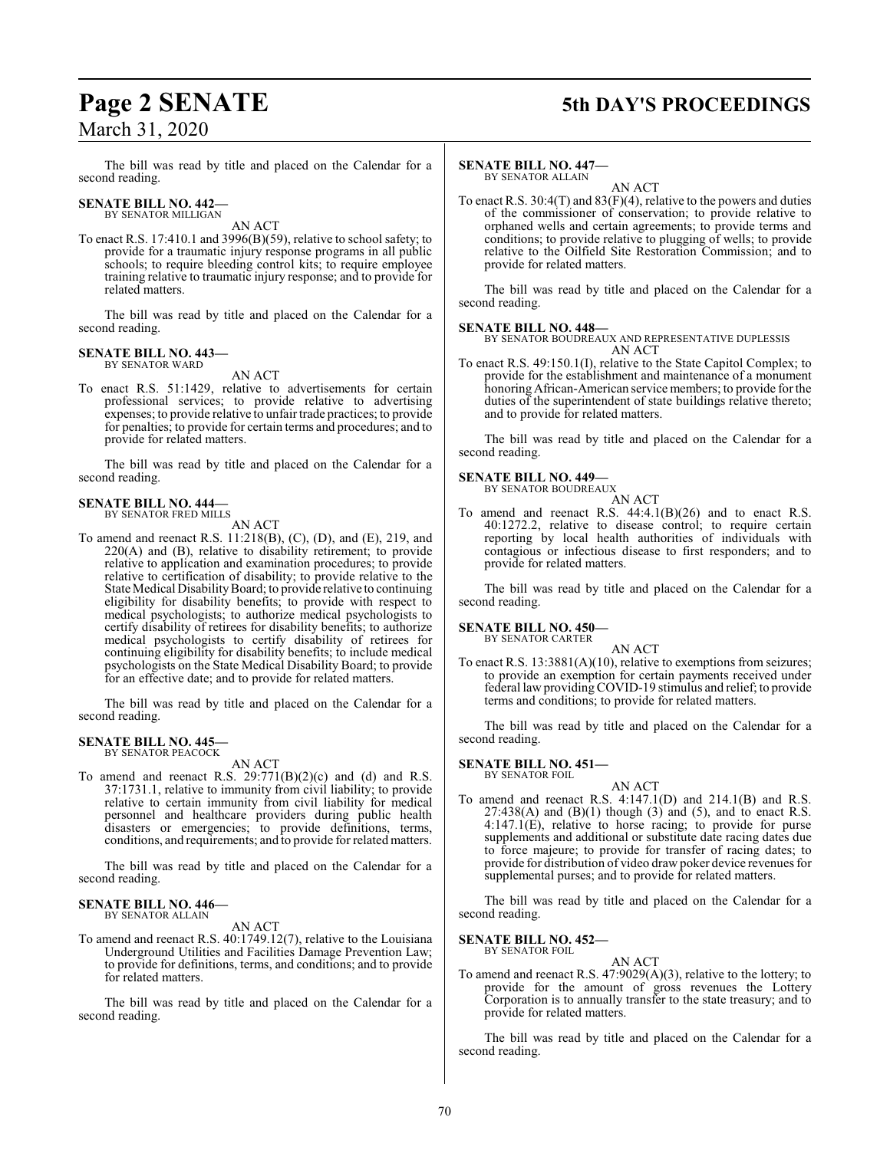# March 31, 2020

### **Page 2 SENATE 5th DAY'S PROCEEDINGS**

The bill was read by title and placed on the Calendar for a second reading.

### **SENATE BILL NO. 442—** BY SENATOR MILLIGAN

AN ACT

To enact R.S. 17:410.1 and 3996(B)(59), relative to school safety; to provide for a traumatic injury response programs in all public schools; to require bleeding control kits; to require employee training relative to traumatic injury response; and to provide for related matters.

The bill was read by title and placed on the Calendar for a second reading.

### **SENATE BILL NO. 443—** BY SENATOR WARD

AN ACT

To enact R.S. 51:1429, relative to advertisements for certain professional services; to provide relative to advertising expenses; to provide relative to unfair trade practices; to provide for penalties; to provide for certain terms and procedures; and to provide for related matters.

The bill was read by title and placed on the Calendar for a second reading.

### **SENATE BILL NO. 444—** BY SENATOR FRED MILLS

AN ACT

To amend and reenact R.S. 11:218(B), (C), (D), and (E), 219, and 220(A) and (B), relative to disability retirement; to provide relative to application and examination procedures; to provide relative to certification of disability; to provide relative to the State Medical Disability Board; to provide relative to continuing eligibility for disability benefits; to provide with respect to medical psychologists; to authorize medical psychologists to certify disability of retirees for disability benefits; to authorize medical psychologists to certify disability of retirees for continuing eligibility for disability benefits; to include medical psychologists on the State Medical Disability Board; to provide for an effective date; and to provide for related matters.

The bill was read by title and placed on the Calendar for a second reading.

### **SENATE BILL NO. 445—** BY SENATOR PEACOCK

AN ACT

To amend and reenact R.S.  $29:771(B)(2)(c)$  and (d) and R.S. 37:1731.1, relative to immunity from civil liability; to provide relative to certain immunity from civil liability for medical personnel and healthcare providers during public health disasters or emergencies; to provide definitions, terms, conditions, and requirements; and to provide for related matters.

The bill was read by title and placed on the Calendar for a second reading.

### **SENATE BILL NO. 446—** BY SENATOR ALLAIN

AN ACT

To amend and reenact R.S. 40:1749.12(7), relative to the Louisiana Underground Utilities and Facilities Damage Prevention Law; to provide for definitions, terms, and conditions; and to provide for related matters.

The bill was read by title and placed on the Calendar for a second reading.

### **SENATE BILL NO. 447—** BY SENATOR ALLAIN

AN ACT

To enact R.S. 30:4(T) and 83(F)(4), relative to the powers and duties of the commissioner of conservation; to provide relative to orphaned wells and certain agreements; to provide terms and conditions; to provide relative to plugging of wells; to provide relative to the Oilfield Site Restoration Commission; and to provide for related matters.

The bill was read by title and placed on the Calendar for a second reading.

### **SENATE BILL NO. 448—**

BY SENATOR BOUDREAUX AND REPRESENTATIVE DUPLESSIS AN ACT

To enact R.S. 49:150.1(I), relative to the State Capitol Complex; to provide for the establishment and maintenance of a monument honoring African-American service members; to provide for the duties of the superintendent of state buildings relative thereto; and to provide for related matters.

The bill was read by title and placed on the Calendar for a second reading.

### **SENATE BILL NO. 449—**

BY SENATOR BOUDREAUX AN ACT

To amend and reenact R.S. 44:4.1(B)(26) and to enact R.S. 40:1272.2, relative to disease control; to require certain reporting by local health authorities of individuals with contagious or infectious disease to first responders; and to provide for related matters.

The bill was read by title and placed on the Calendar for a second reading.

#### **SENATE BILL NO. 450—** BY SENATOR CARTER

AN ACT

To enact R.S. 13:3881(A)(10), relative to exemptions from seizures; to provide an exemption for certain payments received under federal law providingCOVID-19 stimulus and relief; to provide terms and conditions; to provide for related matters.

The bill was read by title and placed on the Calendar for a second reading.

### **SENATE BILL NO. 451—** BY SENATOR FOIL

AN ACT

To amend and reenact R.S.  $4:147.1(D)$  and  $214.1(B)$  and R.S.  $27:438(A)$  and  $(B)(1)$  though  $(3)$  and  $(5)$ , and to enact R.S.  $4:147.1(E)$ , relative to horse racing; to provide for purse supplements and additional or substitute date racing dates due to force majeure; to provide for transfer of racing dates; to provide for distribution of video draw poker device revenues for supplemental purses; and to provide for related matters.

The bill was read by title and placed on the Calendar for a second reading.

### **SENATE BILL NO. 452—**<br>BY SENATOR FOIL

AN ACT

To amend and reenact R.S. 47:9029(A)(3), relative to the lottery; to provide for the amount of gross revenues the Lottery Corporation is to annually transfer to the state treasury; and to provide for related matters.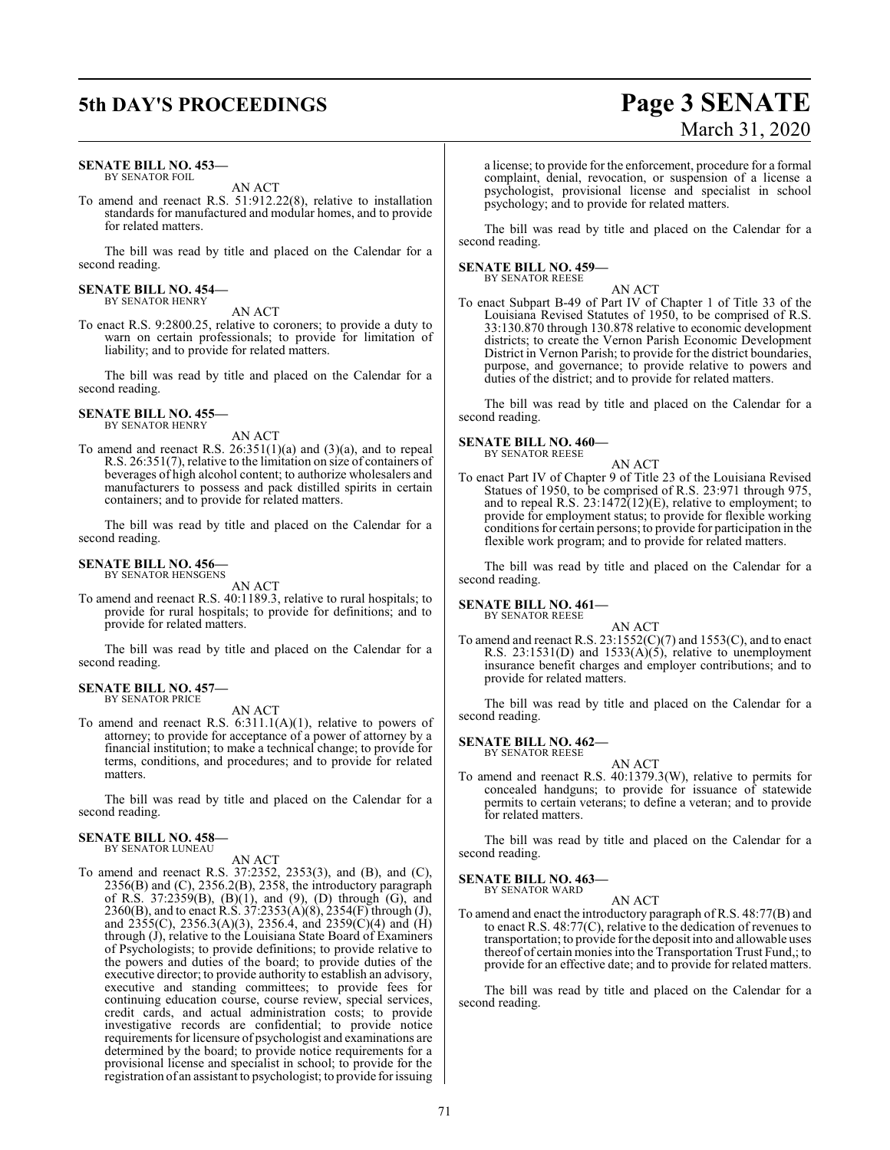## **5th DAY'S PROCEEDINGS Page 3 SENATE**

### **SENATE BILL NO. 453—** BY SENATOR FOIL

AN ACT

To amend and reenact R.S. 51:912.22(8), relative to installation standards for manufactured and modular homes, and to provide for related matters.

The bill was read by title and placed on the Calendar for a second reading.

#### **SENATE BILL NO. 454—** BY SENATOR HENRY

AN ACT

To enact R.S. 9:2800.25, relative to coroners; to provide a duty to warn on certain professionals; to provide for limitation of liability; and to provide for related matters.

The bill was read by title and placed on the Calendar for a second reading.

### **SENATE BILL NO. 455—** BY SENATOR HENRY

AN ACT

To amend and reenact R.S.  $26:351(1)(a)$  and  $(3)(a)$ , and to repeal R.S. 26:351(7), relative to the limitation on size of containers of beverages of high alcohol content; to authorize wholesalers and manufacturers to possess and pack distilled spirits in certain containers; and to provide for related matters.

The bill was read by title and placed on the Calendar for a second reading.

#### **SENATE BILL NO. 456—** BY SENATOR HENSGENS

AN ACT

To amend and reenact R.S. 40:1189.3, relative to rural hospitals; to provide for rural hospitals; to provide for definitions; and to provide for related matters.

The bill was read by title and placed on the Calendar for a second reading.

#### **SENATE BILL NO. 457—** BY SENATOR PRICE

AN ACT

To amend and reenact R.S. 6:311.1(A)(1), relative to powers of attorney; to provide for acceptance of a power of attorney by a financial institution; to make a technical change; to provide for terms, conditions, and procedures; and to provide for related matters.

The bill was read by title and placed on the Calendar for a second reading.

### **SENATE BILL NO. 458—**

BY SENATOR LUNEAU

- AN ACT
- To amend and reenact R.S. 37:2352, 2353(3), and (B), and (C), 2356(B) and (C), 2356.2(B), 2358, the introductory paragraph of R.S.  $37:2359(B)$ ,  $(B)(1)$ , and  $(9)$ ,  $(D)$  through  $(G)$ , and 2360(B), and to enact R.S. 37:2353(A)(8), 2354(F) through (J), and  $\hat{2355(C)}$ , 2356.3(A)(3), 2356.4, and 2359(C)(4) and (H) through (J), relative to the Louisiana State Board of Examiners of Psychologists; to provide definitions; to provide relative to the powers and duties of the board; to provide duties of the executive director; to provide authority to establish an advisory, executive and standing committees; to provide fees for continuing education course, course review, special services, credit cards, and actual administration costs; to provide investigative records are confidential; to provide notice requirements for licensure of psychologist and examinations are determined by the board; to provide notice requirements for a provisional license and specialist in school; to provide for the registration of an assistant to psychologist; to provide for issuing

# March 31, 2020

a license; to provide for the enforcement, procedure for a formal complaint, denial, revocation, or suspension of a license a psychologist, provisional license and specialist in school psychology; and to provide for related matters.

The bill was read by title and placed on the Calendar for a second reading.

#### **SENATE BILL NO. 459—** BY SENATOR REESE

AN ACT

To enact Subpart B-49 of Part IV of Chapter 1 of Title 33 of the Louisiana Revised Statutes of 1950, to be comprised of R.S. 33:130.870 through 130.878 relative to economic development districts; to create the Vernon Parish Economic Development District in Vernon Parish; to provide for the district boundaries, purpose, and governance; to provide relative to powers and duties of the district; and to provide for related matters.

The bill was read by title and placed on the Calendar for a second reading.

### **SENATE BILL NO. 460—**

BY SENATOR REESE

AN ACT To enact Part IV of Chapter 9 of Title 23 of the Louisiana Revised Statues of 1950, to be comprised of R.S. 23:971 through 975, and to repeal R.S. 23:1472(12)(E), relative to employment; to provide for employment status; to provide for flexible working conditions for certain persons; to provide for participation in the flexible work program; and to provide for related matters.

The bill was read by title and placed on the Calendar for a second reading.

**SENATE BILL NO. 461—** BY SENATOR REESE

AN ACT

To amend and reenact R.S. 23:1552(C)(7) and 1553(C), and to enact R.S.  $23:1531(D)$  and  $1533(A)(5)$ , relative to unemployment insurance benefit charges and employer contributions; and to provide for related matters.

The bill was read by title and placed on the Calendar for a second reading.

### **SENATE BILL NO. 462—**

BY SENATOR REESE

AN ACT To amend and reenact R.S. 40:1379.3(W), relative to permits for concealed handguns; to provide for issuance of statewide permits to certain veterans; to define a veteran; and to provide for related matters.

The bill was read by title and placed on the Calendar for a second reading.

### **SENATE BILL NO. 463—** BY SENATOR WARD

AN ACT

To amend and enact the introductory paragraph of R.S. 48:77(B) and to enact R.S. 48:77(C), relative to the dedication of revenues to transportation; to provide forthe deposit into and allowable uses thereof of certain monies into the Transportation Trust Fund,; to provide for an effective date; and to provide for related matters.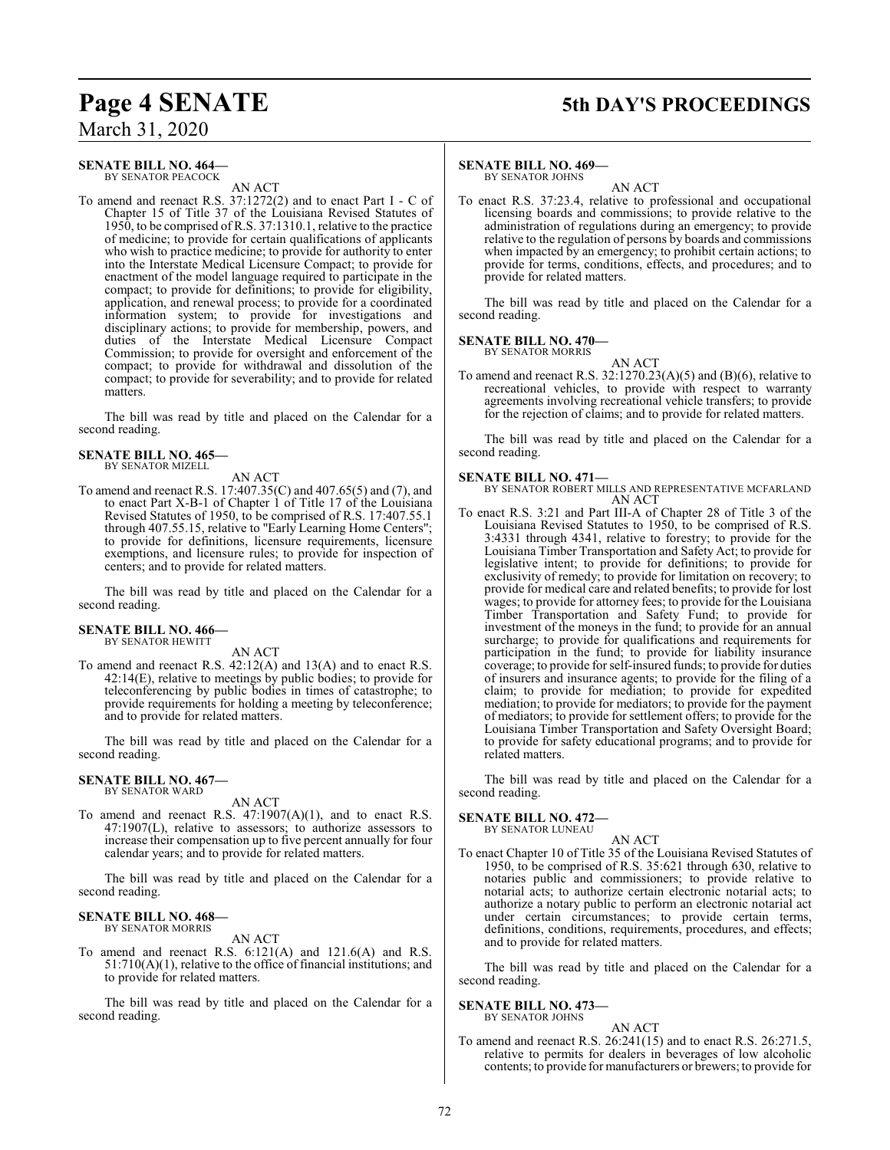### **Page 4 SENATE 5th DAY'S PROCEEDINGS**

### March 31, 2020

### **SENATE BILL NO. 464—** BY SENATOR PEACOCK

AN ACT

To amend and reenact R.S. 37:1272(2) and to enact Part I - C of Chapter 15 of Title 37 of the Louisiana Revised Statutes of 1950, to be comprised of R.S. 37:1310.1, relative to the practice of medicine; to provide for certain qualifications of applicants who wish to practice medicine; to provide for authority to enter into the Interstate Medical Licensure Compact; to provide for enactment of the model language required to participate in the compact; to provide for definitions; to provide for eligibility, application, and renewal process; to provide for a coordinated information system; to provide for investigations and disciplinary actions; to provide for membership, powers, and duties of the Interstate Medical Licensure Compact Commission; to provide for oversight and enforcement of the compact; to provide for withdrawal and dissolution of the compact; to provide for severability; and to provide for related matters.

The bill was read by title and placed on the Calendar for a second reading.

### **SENATE BILL NO. 465—** BY SENATOR MIZELL

AN ACT

To amend and reenact R.S. 17:407.35(C) and 407.65(5) and (7), and to enact Part X-B-1 of Chapter 1 of Title 17 of the Louisiana Revised Statutes of 1950, to be comprised of R.S. 17:407.55.1 through 407.55.15, relative to "Early Learning Home Centers"; to provide for definitions, licensure requirements, licensure exemptions, and licensure rules; to provide for inspection of centers; and to provide for related matters.

The bill was read by title and placed on the Calendar for a second reading.

#### **SENATE BILL NO. 466—** BY SENATOR HEWITT

AN ACT

To amend and reenact R.S. 42:12(A) and 13(A) and to enact R.S. 42:14(E), relative to meetings by public bodies; to provide for teleconferencing by public bodies in times of catastrophe; to provide requirements for holding a meeting by teleconference; and to provide for related matters.

The bill was read by title and placed on the Calendar for a second reading.

#### **SENATE BILL NO. 467—** BY SENATOR WARD

AN ACT

To amend and reenact R.S. 47:1907(A)(1), and to enact R.S. 47:1907(L), relative to assessors; to authorize assessors to increase their compensation up to five percent annually for four calendar years; and to provide for related matters.

The bill was read by title and placed on the Calendar for a second reading.

### **SENATE BILL NO. 468—** BY SENATOR MORRIS

AN ACT

To amend and reenact R.S. 6:121(A) and 121.6(A) and R.S. 51:710(A)(1), relative to the office of financial institutions; and to provide for related matters.

The bill was read by title and placed on the Calendar for a second reading.

### **SENATE BILL NO. 469—** BY SENATOR JOHNS

AN ACT

To enact R.S. 37:23.4, relative to professional and occupational licensing boards and commissions; to provide relative to the administration of regulations during an emergency; to provide relative to the regulation of persons by boards and commissions when impacted by an emergency; to prohibit certain actions; to provide for terms, conditions, effects, and procedures; and to provide for related matters.

The bill was read by title and placed on the Calendar for a second reading.

**SENATE BILL NO. 470—** BY SENATOR MORRIS

AN ACT

To amend and reenact R.S. 32:1270.23(A)(5) and (B)(6), relative to recreational vehicles, to provide with respect to warranty agreements involving recreational vehicle transfers; to provide for the rejection of claims; and to provide for related matters.

The bill was read by title and placed on the Calendar for a second reading.

### **SENATE BILL NO. 471—**

- BY SENATOR ROBERT MILLS AND REPRESENTATIVE MCFARLAND AN ACT
- To enact R.S. 3:21 and Part III-A of Chapter 28 of Title 3 of the Louisiana Revised Statutes to 1950, to be comprised of R.S. 3:4331 through 4341, relative to forestry; to provide for the Louisiana Timber Transportation and Safety Act; to provide for legislative intent; to provide for definitions; to provide for exclusivity of remedy; to provide for limitation on recovery; to provide for medical care and related benefits; to provide for lost wages; to provide for attorney fees; to provide for the Louisiana Timber Transportation and Safety Fund; to provide for investment of the moneys in the fund; to provide for an annual surcharge; to provide for qualifications and requirements for participation in the fund; to provide for liability insurance coverage; to provide for self-insured funds; to provide for duties of insurers and insurance agents; to provide for the filing of a claim; to provide for mediation; to provide for expedited mediation; to provide for mediators; to provide for the payment of mediators; to provide for settlement offers; to provide for the Louisiana Timber Transportation and Safety Oversight Board; to provide for safety educational programs; and to provide for related matters.

The bill was read by title and placed on the Calendar for a second reading.

### **SENATE BILL NO. 472—**

BY SENATOR LUNEAU

AN ACT To enact Chapter 10 of Title 35 of the Louisiana Revised Statutes of 1950, to be comprised of R.S. 35:621 through 630, relative to notaries public and commissioners; to provide relative to notarial acts; to authorize certain electronic notarial acts; to authorize a notary public to perform an electronic notarial act under certain circumstances; to provide certain terms, definitions, conditions, requirements, procedures, and effects; and to provide for related matters.

The bill was read by title and placed on the Calendar for a second reading.

#### **SENATE BILL NO. 473—** BY SENATOR JOHNS

AN ACT

To amend and reenact R.S. 26:241(15) and to enact R.S. 26:271.5, relative to permits for dealers in beverages of low alcoholic contents; to provide for manufacturers or brewers; to provide for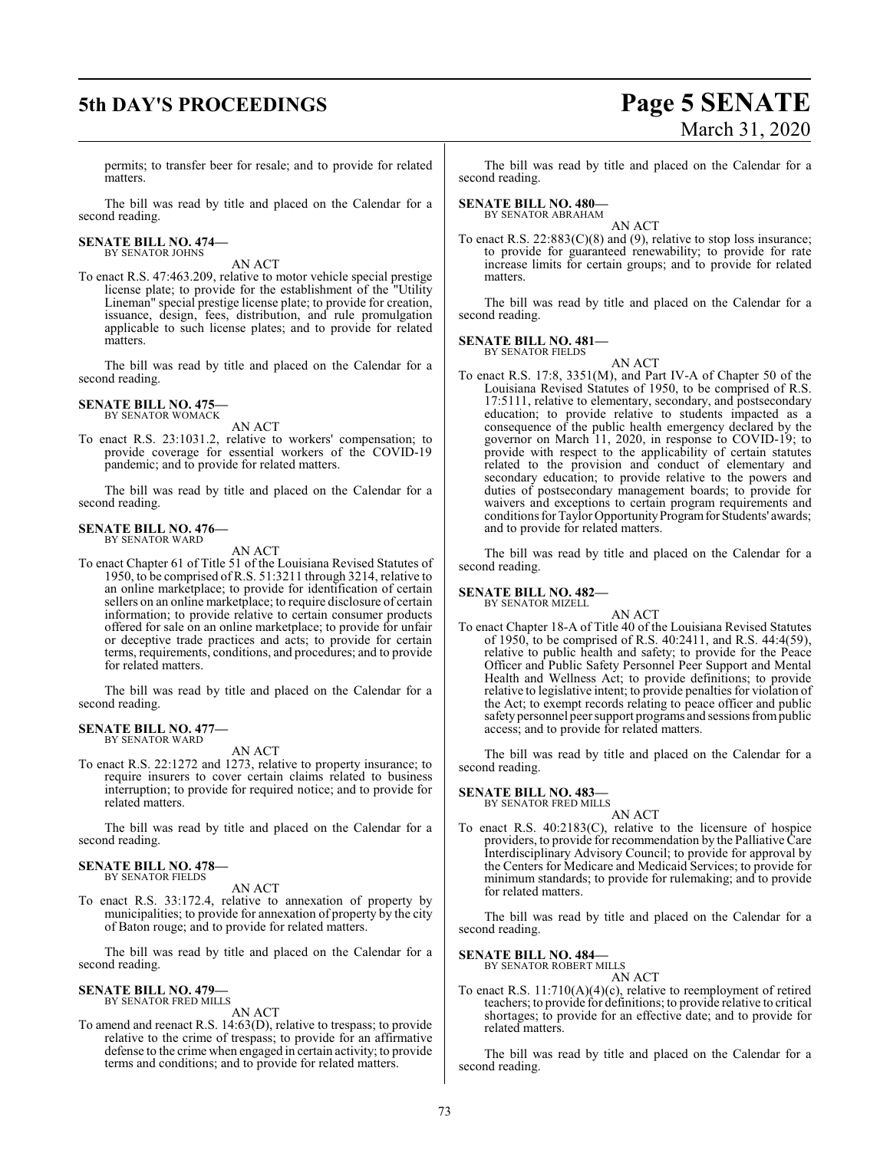## **5th DAY'S PROCEEDINGS Page 5 SENATE**

# March 31, 2020

permits; to transfer beer for resale; and to provide for related matters.

The bill was read by title and placed on the Calendar for a second reading.

**SENATE BILL NO. 474—** BY SENATOR JOHNS

AN ACT

To enact R.S. 47:463.209, relative to motor vehicle special prestige license plate; to provide for the establishment of the "Utility Lineman" special prestige license plate; to provide for creation, issuance, design, fees, distribution, and rule promulgation applicable to such license plates; and to provide for related matters.

The bill was read by title and placed on the Calendar for a second reading.

**SENATE BILL NO. 475—** BY SENATOR WOMACK

AN ACT

To enact R.S. 23:1031.2, relative to workers' compensation; to provide coverage for essential workers of the COVID-19 pandemic; and to provide for related matters.

The bill was read by title and placed on the Calendar for a second reading.

### **SENATE BILL NO. 476—** BY SENATOR WARD

AN ACT

To enact Chapter 61 of Title 51 of the Louisiana Revised Statutes of 1950, to be comprised of R.S. 51:3211 through 3214, relative to an online marketplace; to provide for identification of certain sellers on an online marketplace; to require disclosure of certain information; to provide relative to certain consumer products offered for sale on an online marketplace; to provide for unfair or deceptive trade practices and acts; to provide for certain terms, requirements, conditions, and procedures; and to provide for related matters.

The bill was read by title and placed on the Calendar for a second reading.

### **SENATE BILL NO. 477—** BY SENATOR WARD

AN ACT

To enact R.S. 22:1272 and 1273, relative to property insurance; to require insurers to cover certain claims related to business interruption; to provide for required notice; and to provide for related matters.

The bill was read by title and placed on the Calendar for a second reading.

### **SENATE BILL NO. 478—** BY SENATOR FIELDS

AN ACT

To enact R.S. 33:172.4, relative to annexation of property by municipalities; to provide for annexation of property by the city of Baton rouge; and to provide for related matters.

The bill was read by title and placed on the Calendar for a second reading.

### **SENATE BILL NO. 479—** BY SENATOR FRED MILLS

AN ACT

To amend and reenact R.S. 14:63(D), relative to trespass; to provide relative to the crime of trespass; to provide for an affirmative defense to the crime when engaged in certain activity; to provide terms and conditions; and to provide for related matters.

The bill was read by title and placed on the Calendar for a second reading.

#### **SENATE BILL NO. 480—** BY SENATOR ABRAHAM

AN ACT

To enact R.S. 22:883(C)(8) and (9), relative to stop loss insurance; to provide for guaranteed renewability; to provide for rate increase limits for certain groups; and to provide for related matters.

The bill was read by title and placed on the Calendar for a second reading.

### **SENATE BILL NO. 481—** BY SENATOR FIELDS

AN ACT

To enact R.S. 17:8, 3351(M), and Part IV-A of Chapter 50 of the Louisiana Revised Statutes of 1950, to be comprised of R.S. 17:5111, relative to elementary, secondary, and postsecondary education; to provide relative to students impacted as a consequence of the public health emergency declared by the governor on March 11, 2020, in response to COVID-19; to provide with respect to the applicability of certain statutes related to the provision and conduct of elementary and secondary education; to provide relative to the powers and duties of postsecondary management boards; to provide for waivers and exceptions to certain program requirements and conditions for Taylor Opportunity Program for Students' awards; and to provide for related matters.

The bill was read by title and placed on the Calendar for a second reading.

#### **SENATE BILL NO. 482—** BY SENATOR MIZELL

AN ACT

To enact Chapter 18-A of Title 40 of the Louisiana Revised Statutes of 1950, to be comprised of R.S. 40:2411, and R.S. 44:4(59), relative to public health and safety; to provide for the Peace Officer and Public Safety Personnel Peer Support and Mental Health and Wellness Act; to provide definitions; to provide relative to legislative intent; to provide penalties for violation of the Act; to exempt records relating to peace officer and public safety personnel peer support programs and sessions from public access; and to provide for related matters.

The bill was read by title and placed on the Calendar for a second reading.

### **SENATE BILL NO. 483—** BY SENATOR FRED MILLS

AN ACT

To enact R.S. 40:2183(C), relative to the licensure of hospice providers, to provide for recommendation by the Palliative Care Interdisciplinary Advisory Council; to provide for approval by the Centers for Medicare and Medicaid Services; to provide for minimum standards; to provide for rulemaking; and to provide for related matters.

The bill was read by title and placed on the Calendar for a second reading.

### **SENATE BILL NO. 484—**

BY SENATOR ROBERT MILLS AN ACT

To enact R.S. 11:710(A)(4)(c), relative to reemployment of retired teachers; to provide for definitions; to provide relative to critical shortages; to provide for an effective date; and to provide for related matters.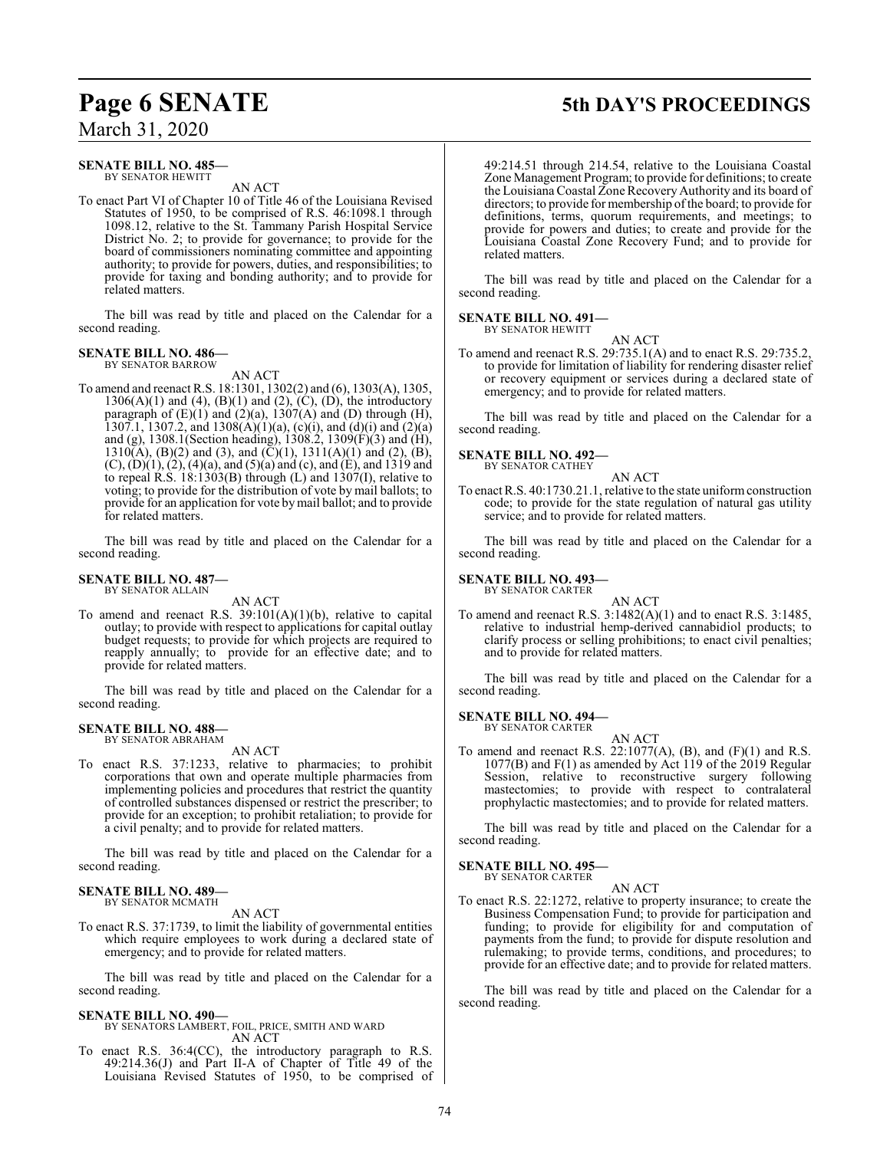## **Page 6 SENATE 5th DAY'S PROCEEDINGS**

### March 31, 2020

### **SENATE BILL NO. 485—** BY SENATOR HEWITT

AN ACT

To enact Part VI of Chapter 10 of Title 46 of the Louisiana Revised Statutes of 1950, to be comprised of R.S. 46:1098.1 through 1098.12, relative to the St. Tammany Parish Hospital Service District No. 2; to provide for governance; to provide for the board of commissioners nominating committee and appointing authority; to provide for powers, duties, and responsibilities; to provide for taxing and bonding authority; and to provide for related matters.

The bill was read by title and placed on the Calendar for a second reading.

## **SENATE BILL NO. 486—** BY SENATOR BARROW

AN ACT

To amend and reenact R.S. 18:1301, 1302(2) and (6), 1303(A), 1305,  $1306(A)(1)$  and  $(4)$ ,  $(B)(1)$  and  $(2)$ ,  $(C)$ ,  $(D)$ , the introductory paragraph of  $(E)(1)$  and  $(2)(a)$ ,  $1307(A)$  and  $(D)$  through (H), 1307.1, 1307.2, and 1308(A)(1)(a), (c)(i), and (d)(i) and (2)(a) and (g), 1308.1(Section heading), 1308.2, 1309(F)(3) and (H),  $1310(A)$ , (B)(2) and (3), and (C)(1),  $1311(A)(1)$  and (2), (B), (C), (D)(1), (2), (4)(a), and (5)(a) and (c), and (E), and 1319 and to repeal R.S. 18:1303(B) through (L) and 1307(I), relative to voting; to provide for the distribution of vote by mail ballots; to provide for an application for vote bymail ballot; and to provide for related matters.

The bill was read by title and placed on the Calendar for a second reading.

### **SENATE BILL NO. 487—** BY SENATOR ALLAIN

AN ACT

To amend and reenact R.S. 39:101(A)(1)(b), relative to capital outlay; to provide with respect to applications for capital outlay budget requests; to provide for which projects are required to reapply annually; to provide for an effective date; and to provide for related matters.

The bill was read by title and placed on the Calendar for a second reading.

### **SENATE BILL NO. 488—** BY SENATOR ABRAHAM

AN ACT

To enact R.S. 37:1233, relative to pharmacies; to prohibit corporations that own and operate multiple pharmacies from implementing policies and procedures that restrict the quantity of controlled substances dispensed or restrict the prescriber; to provide for an exception; to prohibit retaliation; to provide for a civil penalty; and to provide for related matters.

The bill was read by title and placed on the Calendar for a second reading.

#### **SENATE BILL NO. 489—** BY SENATOR MCMATH

AN ACT

To enact R.S. 37:1739, to limit the liability of governmental entities which require employees to work during a declared state of emergency; and to provide for related matters.

The bill was read by title and placed on the Calendar for a second reading.

### **SENATE BILL NO. 490—**

BY SENATORS LAMBERT, FOIL, PRICE, SMITH AND WARD AN ACT

To enact R.S. 36:4(CC), the introductory paragraph to R.S. 49:214.36(J) and Part II-A of Chapter of Title 49 of the Louisiana Revised Statutes of 1950, to be comprised of

49:214.51 through 214.54, relative to the Louisiana Coastal Zone Management Program; to provide for definitions; to create the Louisiana Coastal Zone Recovery Authority and its board of directors; to provide for membership of the board; to provide for definitions, terms, quorum requirements, and meetings; to provide for powers and duties; to create and provide for the Louisiana Coastal Zone Recovery Fund; and to provide for related matters.

The bill was read by title and placed on the Calendar for a second reading.

### **SENATE BILL NO. 491—** BY SENATOR HEWITT

AN ACT

To amend and reenact R.S. 29:735.1(A) and to enact R.S. 29:735.2, to provide for limitation of liability for rendering disaster relief or recovery equipment or services during a declared state of emergency; and to provide for related matters.

The bill was read by title and placed on the Calendar for a second reading.

### **SENATE BILL NO. 492—** BY SENATOR CATHEY

AN ACT

To enact R.S. 40:1730.21.1, relative to the state uniformconstruction code; to provide for the state regulation of natural gas utility service; and to provide for related matters.

The bill was read by title and placed on the Calendar for a second reading.

### **SENATE BILL NO. 493—** BY SENATOR CARTER

AN ACT

To amend and reenact R.S. 3:1482(A)(1) and to enact R.S. 3:1485, relative to industrial hemp-derived cannabidiol products; to clarify process or selling prohibitions; to enact civil penalties; and to provide for related matters.

The bill was read by title and placed on the Calendar for a second reading.

### **SENATE BILL NO. 494—** BY SENATOR CARTER

AN ACT

To amend and reenact R.S. 22:1077(A), (B), and  $(F)(1)$  and R.S. 1077(B) and F(1) as amended by Act 119 of the 2019 Regular Session, relative to reconstructive surgery following mastectomies; to provide with respect to contralateral prophylactic mastectomies; and to provide for related matters.

The bill was read by title and placed on the Calendar for a second reading.

### **SENATE BILL NO. 495—** BY SENATOR CARTER

AN ACT

To enact R.S. 22:1272, relative to property insurance; to create the Business Compensation Fund; to provide for participation and funding; to provide for eligibility for and computation of payments from the fund; to provide for dispute resolution and rulemaking; to provide terms, conditions, and procedures; to provide for an effective date; and to provide for related matters.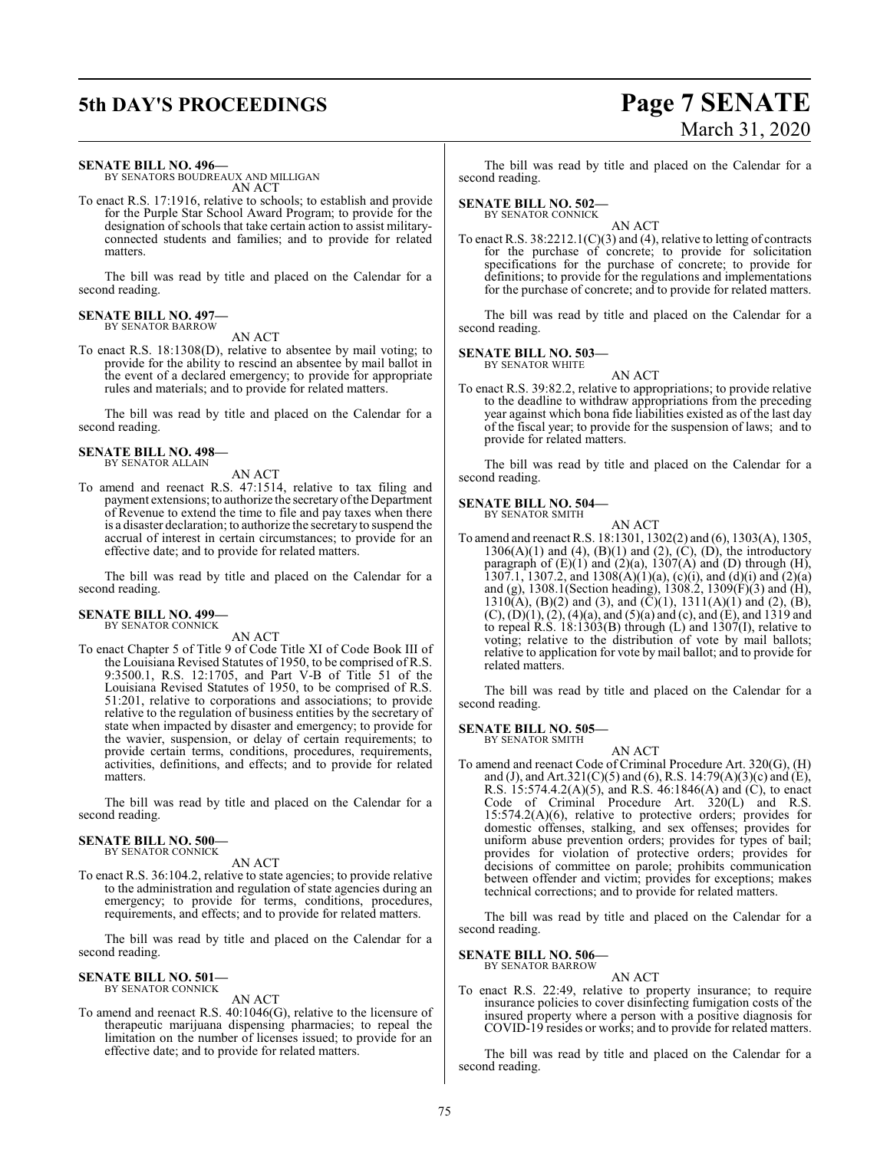# **5th DAY'S PROCEEDINGS Page 7 SENATE**

# March 31, 2020

### **SENATE BILL NO. 496—**

BY SENATORS BOUDREAUX AND MILLIGAN AN ACT

To enact R.S. 17:1916, relative to schools; to establish and provide for the Purple Star School Award Program; to provide for the designation of schools that take certain action to assist militaryconnected students and families; and to provide for related matters.

The bill was read by title and placed on the Calendar for a second reading.

### **SENATE BILL NO. 497—** BY SENATOR BARROW

AN ACT

To enact R.S. 18:1308(D), relative to absentee by mail voting; to provide for the ability to rescind an absentee by mail ballot in the event of a declared emergency; to provide for appropriate rules and materials; and to provide for related matters.

The bill was read by title and placed on the Calendar for a second reading.

### **SENATE BILL NO. 498—** BY SENATOR ALLAIN

AN ACT

To amend and reenact R.S. 47:1514, relative to tax filing and payment extensions; to authorize the secretary ofthe Department of Revenue to extend the time to file and pay taxes when there is a disaster declaration; to authorize the secretary to suspend the accrual of interest in certain circumstances; to provide for an effective date; and to provide for related matters.

The bill was read by title and placed on the Calendar for a second reading.

### **SENATE BILL NO. 499—**

BY SENATOR CONNICK

AN ACT

To enact Chapter 5 of Title 9 of Code Title XI of Code Book III of the Louisiana Revised Statutes of 1950, to be comprised of R.S. 9:3500.1, R.S. 12:1705, and Part V-B of Title 51 of the Louisiana Revised Statutes of 1950, to be comprised of R.S. 51:201, relative to corporations and associations; to provide relative to the regulation of business entities by the secretary of state when impacted by disaster and emergency; to provide for the wavier, suspension, or delay of certain requirements; to provide certain terms, conditions, procedures, requirements, activities, definitions, and effects; and to provide for related matters.

The bill was read by title and placed on the Calendar for a second reading.

### **SENATE BILL NO. 500—** BY SENATOR CONNICK

AN ACT

To enact R.S. 36:104.2, relative to state agencies; to provide relative to the administration and regulation of state agencies during an emergency; to provide for terms, conditions, procedures, requirements, and effects; and to provide for related matters.

The bill was read by title and placed on the Calendar for a second reading.

### **SENATE BILL NO. 501—** BY SENATOR CONNICK

AN ACT

To amend and reenact R.S. 40:1046(G), relative to the licensure of therapeutic marijuana dispensing pharmacies; to repeal the limitation on the number of licenses issued; to provide for an effective date; and to provide for related matters.

The bill was read by title and placed on the Calendar for a second reading.

### **SENATE BILL NO. 502—**

BY SENATOR CONNICK

AN ACT To enact R.S. 38:2212.1(C)(3) and (4), relative to letting of contracts for the purchase of concrete; to provide for solicitation specifications for the purchase of concrete; to provide for definitions; to provide for the regulations and implementations for the purchase of concrete; and to provide for related matters.

The bill was read by title and placed on the Calendar for a second reading.

### **SENATE BILL NO. 503—** BY SENATOR WHITE

AN ACT

To enact R.S. 39:82.2, relative to appropriations; to provide relative to the deadline to withdraw appropriations from the preceding year against which bona fide liabilities existed as of the last day of the fiscal year; to provide for the suspension of laws; and to provide for related matters.

The bill was read by title and placed on the Calendar for a second reading.

# **SENATE BILL NO. 504—** BY SENATOR SMITH

AN ACT

To amend and reenact R.S. 18:1301, 1302(2) and (6), 1303(A), 1305,  $1306(A)(1)$  and  $(4)$ ,  $(B)(1)$  and  $(2)$ ,  $(C)$ ,  $(D)$ , the introductory paragraph of  $(E)(1)$  and  $(2)(a)$ ,  $1307(A)$  and  $(D)$  through  $(H)$ , 1307.1, 1307.2, and 1308(A)(1)(a), (c)(i), and (d)(i) and (2)(a) and (g), 1308.1(Section heading), 1308.2, 1309(F)(3) and (H),  $1310(A), (B)(2)$  and (3), and (C)(1),  $1311(A)(1)$  and (2), (B),  $(C)$ ,  $(D)(1)$ ,  $(2)$ ,  $(4)(a)$ , and  $(5)(a)$  and  $(c)$ , and  $(\hat{E})$ , and  $1319$  and to repeal R.S. 18:1303(B) through (L) and 1307(I), relative to voting; relative to the distribution of vote by mail ballots; relative to application for vote by mail ballot; and to provide for related matters.

The bill was read by title and placed on the Calendar for a second reading.

### **SENATE BILL NO. 505—** BY SENATOR SMITH

AN ACT To amend and reenact Code of Criminal Procedure Art. 320(G), (H) and (J), and Art.321(C)(5) and (6), R.S. 14:79(A)(3)(c) and (E), R.S. 15:574.4.2(A)(5), and R.S. 46:1846(A) and (C), to enact Code of Criminal Procedure Art. 320(L) and R.S. 15:574.2(A)(6), relative to protective orders; provides for domestic offenses, stalking, and sex offenses; provides for uniform abuse prevention orders; provides for types of bail; provides for violation of protective orders; provides for decisions of committee on parole; prohibits communication between offender and victim; provides for exceptions; makes technical corrections; and to provide for related matters.

The bill was read by title and placed on the Calendar for a second reading.

### **SENATE BILL NO. 506—** BY SENATOR BARROW

AN ACT

To enact R.S. 22:49, relative to property insurance; to require insurance policies to cover disinfecting fumigation costs of the insured property where a person with a positive diagnosis for COVID-19 resides or works; and to provide for related matters.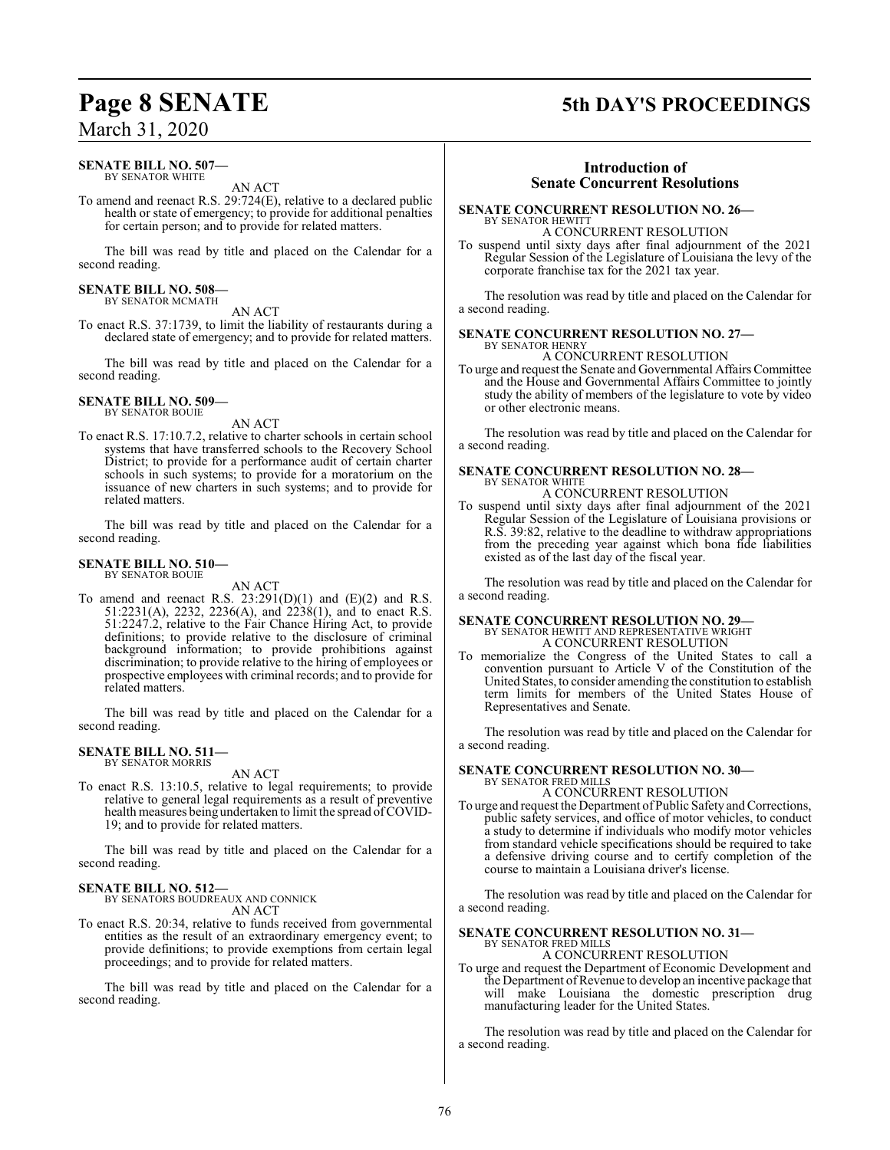### March 31, 2020

### **SENATE BILL NO. 507—** BY SENATOR WHITE

AN ACT

To amend and reenact R.S. 29:724(E), relative to a declared public health or state of emergency; to provide for additional penalties for certain person; and to provide for related matters.

The bill was read by title and placed on the Calendar for a second reading.

### **SENATE BILL NO. 508—**

BY SENATOR MCMATH AN ACT

To enact R.S. 37:1739, to limit the liability of restaurants during a declared state of emergency; and to provide for related matters.

The bill was read by title and placed on the Calendar for a second reading.

### **SENATE BILL NO. 509—** BY SENATOR BOUIE

AN ACT

To enact R.S. 17:10.7.2, relative to charter schools in certain school systems that have transferred schools to the Recovery School District; to provide for a performance audit of certain charter schools in such systems; to provide for a moratorium on the issuance of new charters in such systems; and to provide for related matters.

The bill was read by title and placed on the Calendar for a second reading.

#### **SENATE BILL NO. 510—** BY SENATOR BOUIE

AN ACT

To amend and reenact R.S.  $23:291(D)(1)$  and  $(E)(2)$  and R.S. 51:2231(A), 2232, 2236(A), and 2238(1), and to enact R.S. 51:2247.2, relative to the Fair Chance Hiring Act, to provide definitions; to provide relative to the disclosure of criminal background information; to provide prohibitions against discrimination; to provide relative to the hiring of employees or prospective employees with criminal records; and to provide for related matters.

The bill was read by title and placed on the Calendar for a second reading.

### **SENATE BILL NO. 511—** BY SENATOR MORRIS

AN ACT

To enact R.S. 13:10.5, relative to legal requirements; to provide relative to general legal requirements as a result of preventive health measures being undertaken to limit the spread of COVID-19; and to provide for related matters.

The bill was read by title and placed on the Calendar for a second reading.

### **SENATE BILL NO. 512—**

BY SENATORS BOUDREAUX AND CONNICK

AN ACT

To enact R.S. 20:34, relative to funds received from governmental entities as the result of an extraordinary emergency event; to provide definitions; to provide exemptions from certain legal proceedings; and to provide for related matters.

The bill was read by title and placed on the Calendar for a second reading.

## **Page 8 SENATE 5th DAY'S PROCEEDINGS**

### **Introduction of Senate Concurrent Resolutions**

### **SENATE CONCURRENT RESOLUTION NO. 26—** BY SENATOR HEWITT

A CONCURRENT RESOLUTION

To suspend until sixty days after final adjournment of the 2021 Regular Session of the Legislature of Louisiana the levy of the corporate franchise tax for the 2021 tax year.

The resolution was read by title and placed on the Calendar for a second reading.

### **SENATE CONCURRENT RESOLUTION NO. 27—**

BY SENATOR HENRY A CONCURRENT RESOLUTION

To urge and request the Senate and Governmental Affairs Committee and the House and Governmental Affairs Committee to jointly study the ability of members of the legislature to vote by video or other electronic means.

The resolution was read by title and placed on the Calendar for a second reading.

### **SENATE CONCURRENT RESOLUTION NO. 28—** BY SENATOR WHITE

### A CONCURRENT RESOLUTION

To suspend until sixty days after final adjournment of the 2021 Regular Session of the Legislature of Louisiana provisions or R.S. 39:82, relative to the deadline to withdraw appropriations from the preceding year against which bona fide liabilities existed as of the last day of the fiscal year.

The resolution was read by title and placed on the Calendar for a second reading.

**SENATE CONCURRENT RESOLUTION NO. 29—** BY SENATOR HEWITT AND REPRESENTATIVE WRIGHT A CONCURRENT RESOLUTION

To memorialize the Congress of the United States to call a convention pursuant to Article V of the Constitution of the United States, to consider amending the constitution to establish term limits for members of the United States House of Representatives and Senate.

The resolution was read by title and placed on the Calendar for a second reading.

### **SENATE CONCURRENT RESOLUTION NO. 30—** BY SENATOR FRED MILLS

A CONCURRENT RESOLUTION

To urge and request the Department of Public Safety and Corrections, public safety services, and office of motor vehicles, to conduct a study to determine if individuals who modify motor vehicles from standard vehicle specifications should be required to take a defensive driving course and to certify completion of the course to maintain a Louisiana driver's license.

The resolution was read by title and placed on the Calendar for a second reading.

# **SENATE CONCURRENT RESOLUTION NO. 31—**<br>BY SENATOR FRED MILLS<br>A CONCURRENT RESOLUTION

To urge and request the Department of Economic Development and the Department of Revenue to develop an incentive package that will make Louisiana the domestic prescription drug manufacturing leader for the United States.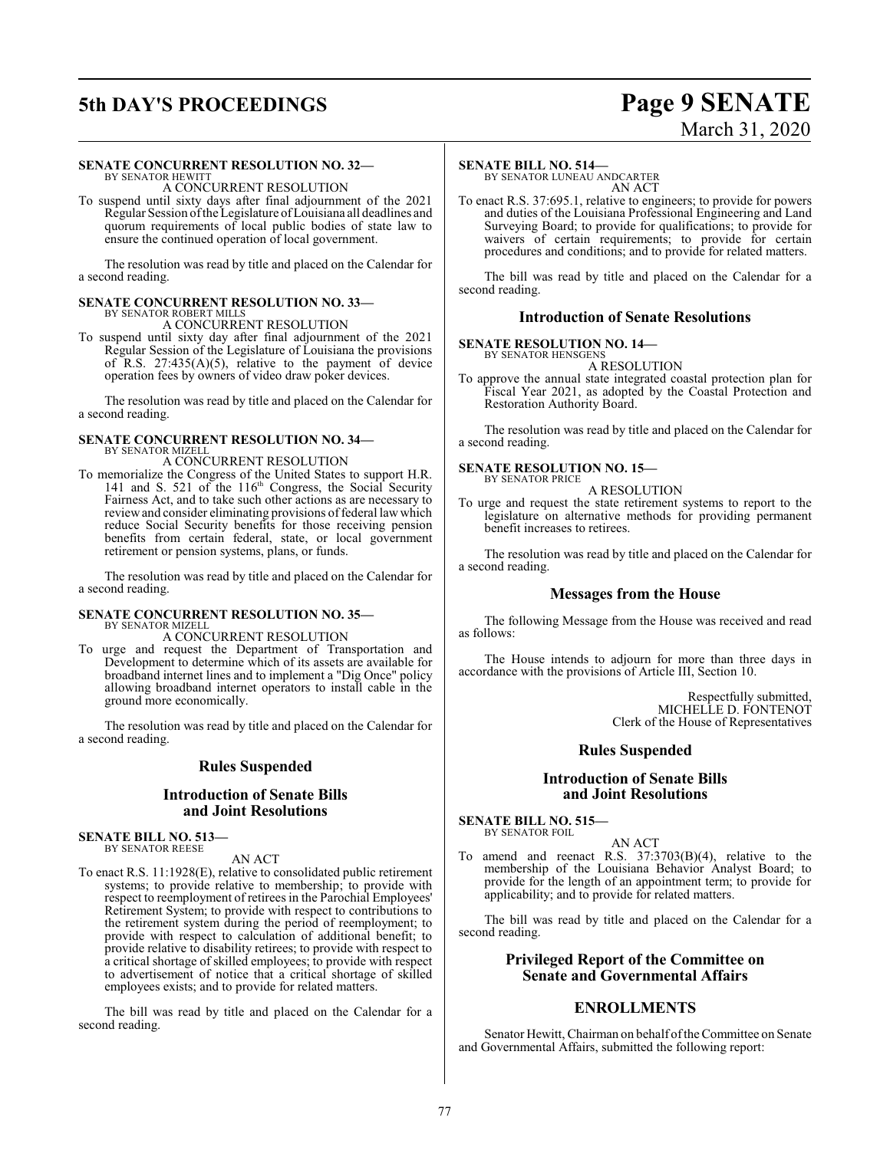# **5th DAY'S PROCEEDINGS Page 9 SENATE**

# March 31, 2020

## **SENATE CONCURRENT RESOLUTION NO. 32—** BY SENATOR HEWITT

A CONCURRENT RESOLUTION

To suspend until sixty days after final adjournment of the 2021 Regular Session ofthe Legislature ofLouisiana all deadlines and quorum requirements of local public bodies of state law to ensure the continued operation of local government.

The resolution was read by title and placed on the Calendar for a second reading.

### **SENATE CONCURRENT RESOLUTION NO. 33—**

BY SENATOR ROBERT MILLS

A CONCURRENT RESOLUTION To suspend until sixty day after final adjournment of the 2021 Regular Session of the Legislature of Louisiana the provisions of R.S.  $27:435(A)(5)$ , relative to the payment of device operation fees by owners of video draw poker devices.

The resolution was read by title and placed on the Calendar for a second reading.

### **SENATE CONCURRENT RESOLUTION NO. 34—** BY SENATOR MIZELL

A CONCURRENT RESOLUTION

To memorialize the Congress of the United States to support H.R. 141 and S. 521 of the 116<sup>th</sup> Congress, the Social Security Fairness Act, and to take such other actions as are necessary to review and consider eliminating provisions of federal law which reduce Social Security benefits for those receiving pension benefits from certain federal, state, or local government retirement or pension systems, plans, or funds.

The resolution was read by title and placed on the Calendar for a second reading.

### **SENATE CONCURRENT RESOLUTION NO. 35—**

BY SENATOR MIZELL

A CONCURRENT RESOLUTION To urge and request the Department of Transportation and Development to determine which of its assets are available for broadband internet lines and to implement a "Dig Once" policy allowing broadband internet operators to install cable in the ground more economically.

The resolution was read by title and placed on the Calendar for a second reading.

### **Rules Suspended**

### **Introduction of Senate Bills and Joint Resolutions**

**SENATE BILL NO. 513—** BY SENATOR REESE

### AN ACT

To enact R.S. 11:1928(E), relative to consolidated public retirement systems; to provide relative to membership; to provide with respect to reemployment of retirees in the Parochial Employees' Retirement System; to provide with respect to contributions to the retirement system during the period of reemployment; to provide with respect to calculation of additional benefit; to provide relative to disability retirees; to provide with respect to a critical shortage of skilled employees; to provide with respect to advertisement of notice that a critical shortage of skilled employees exists; and to provide for related matters.

The bill was read by title and placed on the Calendar for a second reading.

### **SENATE BILL NO. 514—**

BY SENATOR LUNEAU ANDCARTER AN ACT

To enact R.S. 37:695.1, relative to engineers; to provide for powers and duties of the Louisiana Professional Engineering and Land Surveying Board; to provide for qualifications; to provide for waivers of certain requirements; to provide for certain procedures and conditions; and to provide for related matters.

The bill was read by title and placed on the Calendar for a second reading.

### **Introduction of Senate Resolutions**

**SENATE RESOLUTION NO. 14—**

BY SENATOR HENSGENS A RESOLUTION

To approve the annual state integrated coastal protection plan for Fiscal Year 2021, as adopted by the Coastal Protection and Restoration Authority Board.

The resolution was read by title and placed on the Calendar for a second reading.

### **SENATE RESOLUTION NO. 15—** BY SENATOR PRICE

A RESOLUTION

To urge and request the state retirement systems to report to the legislature on alternative methods for providing permanent benefit increases to retirees.

The resolution was read by title and placed on the Calendar for a second reading.

### **Messages from the House**

The following Message from the House was received and read as follows:

The House intends to adjourn for more than three days in accordance with the provisions of Article III, Section 10.

> Respectfully submitted, MICHELLE D. FONTENOT Clerk of the House of Representatives

### **Rules Suspended**

### **Introduction of Senate Bills and Joint Resolutions**

**SENATE BILL NO. 515—** BY SENATOR FOIL

AN ACT

To amend and reenact R.S. 37:3703(B)(4), relative to the membership of the Louisiana Behavior Analyst Board; to provide for the length of an appointment term; to provide for applicability; and to provide for related matters.

The bill was read by title and placed on the Calendar for a second reading.

### **Privileged Report of the Committee on Senate and Governmental Affairs**

### **ENROLLMENTS**

Senator Hewitt, Chairman on behalf oftheCommittee on Senate and Governmental Affairs, submitted the following report: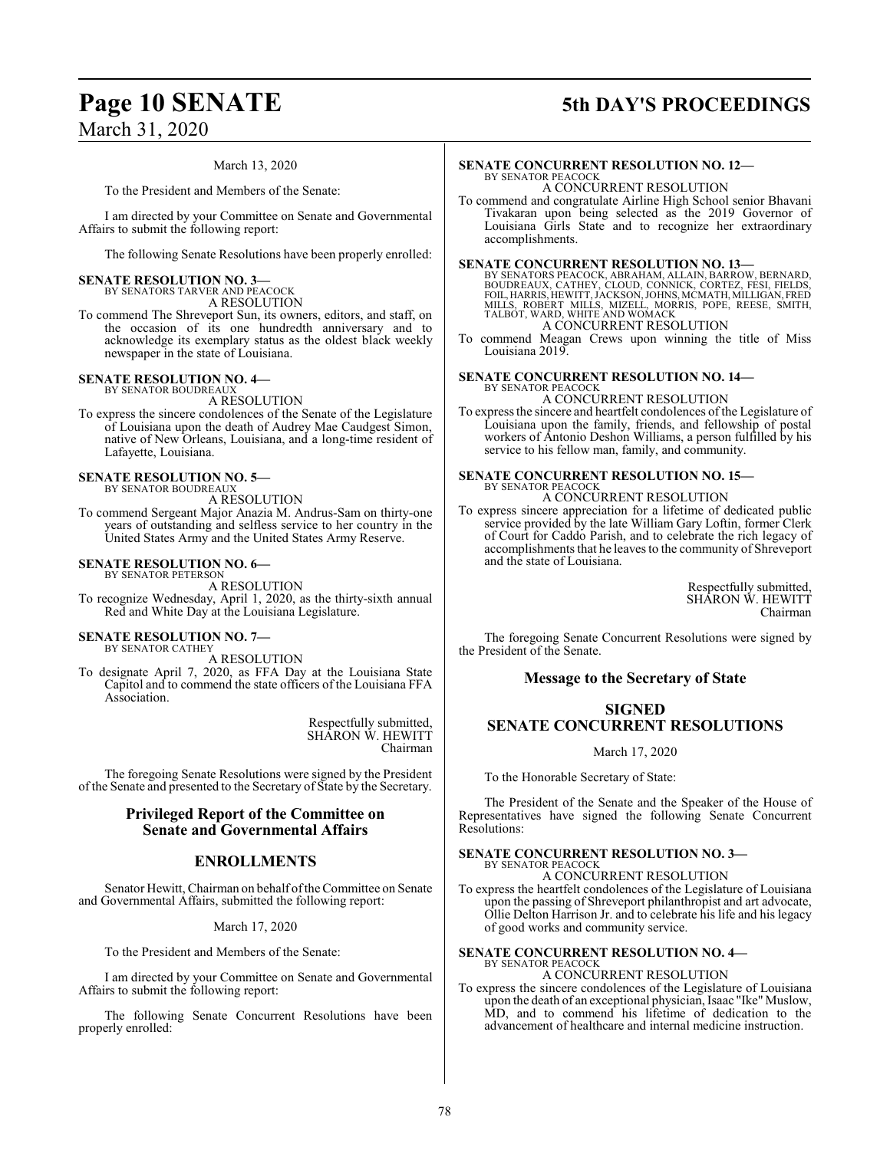# March 31, 2020

### **Page 10 SENATE 5th DAY'S PROCEEDINGS**

March 13, 2020

To the President and Members of the Senate:

I am directed by your Committee on Senate and Governmental Affairs to submit the following report:

The following Senate Resolutions have been properly enrolled:

### **SENATE RESOLUTION NO. 3—** BY SENATORS TARVER AND PEACOCK

A RESOLUTION

To commend The Shreveport Sun, its owners, editors, and staff, on the occasion of its one hundredth anniversary and to acknowledge its exemplary status as the oldest black weekly newspaper in the state of Louisiana.

#### **SENATE RESOLUTION NO. 4—** BY SENATOR BOUDREAUX

A RESOLUTION

To express the sincere condolences of the Senate of the Legislature of Louisiana upon the death of Audrey Mae Caudgest Simon, native of New Orleans, Louisiana, and a long-time resident of Lafayette, Louisiana.

#### **SENATE RESOLUTION NO. 5—** BY SENATOR BOUDREAUX

A RESOLUTION

To commend Sergeant Major Anazia M. Andrus-Sam on thirty-one years of outstanding and selfless service to her country in the United States Army and the United States Army Reserve.

### **SENATE RESOLUTION NO. 6—** BY SENATOR PETERSON

A RESOLUTION

To recognize Wednesday, April 1, 2020, as the thirty-sixth annual Red and White Day at the Louisiana Legislature.

### **SENATE RESOLUTION NO. 7—** BY SENATOR CATHEY

A RESOLUTION

To designate April 7, 2020, as FFA Day at the Louisiana State Capitol and to commend the state officers of the Louisiana FFA Association.

> Respectfully submitted, SHARON W. HEWITT Chairman

The foregoing Senate Resolutions were signed by the President of the Senate and presented to the Secretary of State by the Secretary.

### **Privileged Report of the Committee on Senate and Governmental Affairs**

### **ENROLLMENTS**

Senator Hewitt, Chairman on behalf ofthe Committee on Senate and Governmental Affairs, submitted the following report:

### March 17, 2020

To the President and Members of the Senate:

I am directed by your Committee on Senate and Governmental Affairs to submit the following report:

The following Senate Concurrent Resolutions have been properly enrolled:

### **SENATE CONCURRENT RESOLUTION NO. 12—** BY SENATOR PEACOCK

A CONCURRENT RESOLUTION

To commend and congratulate Airline High School senior Bhavani Tivakaran upon being selected as the 2019 Governor of Louisiana Girls State and to recognize her extraordinary accomplishments.

SENATE CONCURRENT RESOLUTION NO. 13-BY SENATORS PEACOCK, ABRAHAM, ALLAIN, BARROW, BERNARD, BOUDREAUX, CATHEY, CLOUD, CONNICK, CORTEZ, FESI, FIELDS, FOUL, HARRIS, HEWITT, JACKSON, JOHNS, MCMATH, MILLIGAN, FRED MILLS, ROBERT A CONCURRENT RESOLUTION

To commend Meagan Crews upon winning the title of Miss Louisiana 2019.

#### **SENATE CONCURRENT RESOLUTION NO. 14—** BY SENATOR PEACOCK

A CONCURRENT RESOLUTION

To express the sincere and heartfelt condolences of the Legislature of Louisiana upon the family, friends, and fellowship of postal workers of Antonio Deshon Williams, a person fulfilled by his service to his fellow man, family, and community.

#### **SENATE CONCURRENT RESOLUTION NO. 15—** BY SENATOR PEACOCK

A CONCURRENT RESOLUTION

To express sincere appreciation for a lifetime of dedicated public service provided by the late William Gary Loftin, former Clerk of Court for Caddo Parish, and to celebrate the rich legacy of accomplishments that he leaves to the community of Shreveport and the state of Louisiana.

> Respectfully submitted, SHARON W. HEWITT Chairman

The foregoing Senate Concurrent Resolutions were signed by the President of the Senate.

### **Message to the Secretary of State**

### **SIGNED SENATE CONCURRENT RESOLUTIONS**

March 17, 2020

To the Honorable Secretary of State:

The President of the Senate and the Speaker of the House of Representatives have signed the following Senate Concurrent Resolutions:

### **SENATE CONCURRENT RESOLUTION NO. 3—**

BY SENATOR PEACOCK A CONCURRENT RESOLUTION

To express the heartfelt condolences of the Legislature of Louisiana upon the passing of Shreveport philanthropist and art advocate, Ollie Delton Harrison Jr. and to celebrate his life and his legacy of good works and community service.

**SENATE CONCURRENT RESOLUTION NO. 4—** BY SENATOR PEACOCK

A CONCURRENT RESOLUTION To express the sincere condolences of the Legislature of Louisiana upon the death of an exceptional physician, Isaac "Ike" Muslow, MD, and to commend his lifetime of dedication to the advancement of healthcare and internal medicine instruction.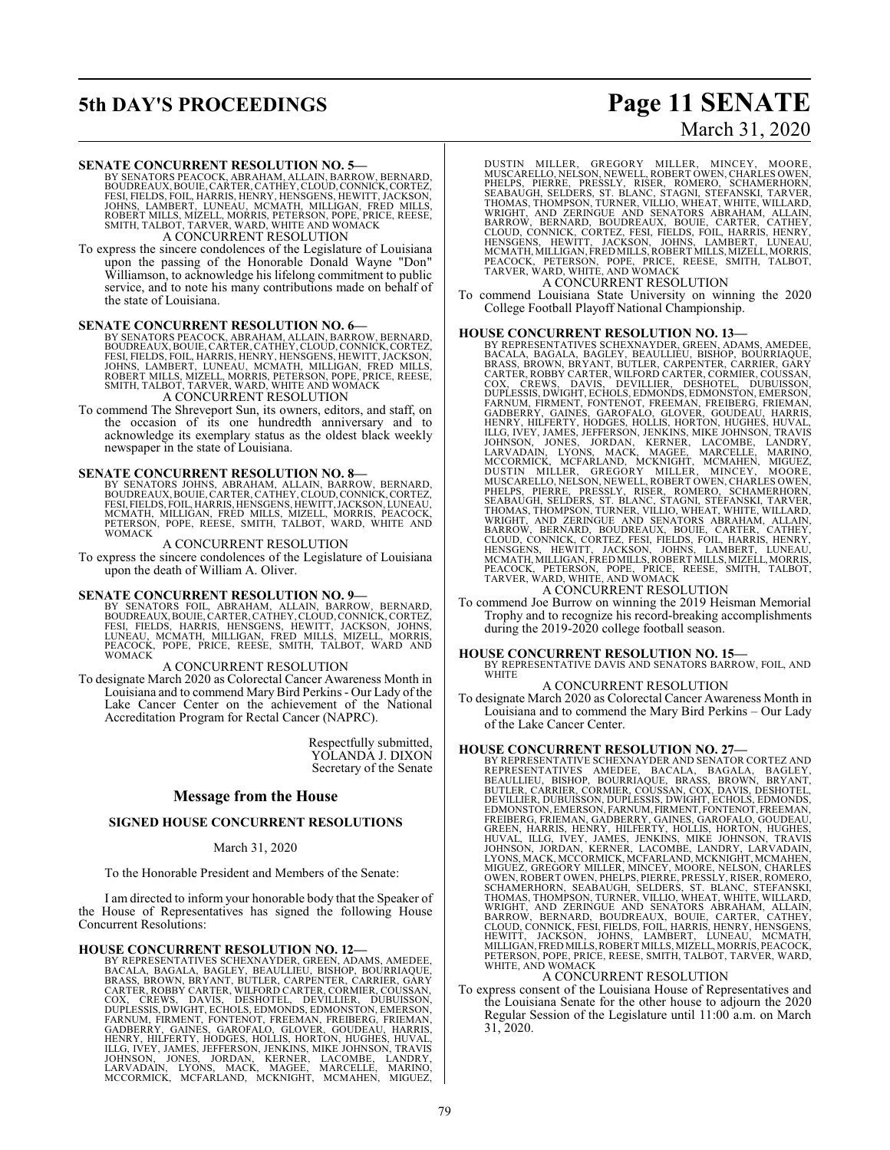## **5th DAY'S PROCEEDINGS Page 11 SENATE**

# March 31, 2020

**SENATE CONCURRENT RESOLUTION NO. 5—**<br>BY SENATORS PEACOCK, ABRAHAM, ALLAIN, BARROW, BERNARD,<br>BOUDREAUX, BOUIE, CARTER, CATHEY, CLOUD, CONNICK, CORTEZ,<br>FESI, FIELDS, FOIL, HARRIS, HENRY, HENSGENS, HEWITT, JACKSON, JOHNS, LAMBERT, LUNEAU, MCMATH, MILLIGAN, FRED MILLS,<br>ROBERT MILLS, MIZELL, MORRIS, PETERSON, POPE, PRICE, REESE,<br>SMITH, TALBOT, TARVER, WARD, WHITE AND WOMACK A CONCURRENT RESOLUTION

To express the sincere condolences of the Legislature of Louisiana upon the passing of the Honorable Donald Wayne "Don" Williamson, to acknowledge his lifelong commitment to public service, and to note his many contributions made on behalf of the state of Louisiana.

### **SENATE CONCURRENT RESOLUTION NO. 6—**

BY SENATORS PEACOCK, ABRAHAM, ALLAIN, BARROW, BERNARD, BOUDREAUX, BOUIE, CARTER, CATHEY, CLOUD, CONNICK, CORTEZ,<br>FESI, FIELDS, FOIL, HARRIS, HENRY, HENSGENS, HEWITT, JACKSON,<br>JOHNS, LAMBERT, LUNEAU, MCMATH, MILLIGAN, FRED MILLS,<br>ROBERT MILLS, MIZELL, MORRIS, PETERSON, POPE, PR

To commend The Shreveport Sun, its owners, editors, and staff, on the occasion of its one hundredth anniversary and to acknowledge its exemplary status as the oldest black weekly newspaper in the state of Louisiana.

### **SENATE CONCURRENT RESOLUTION NO. 8—**

BY SENATORS JOHNS, ABRAHAM, ALLAIN, BARROW, BERNARD,<br>BOUDREAUX,BOUIE,CARTER,CATHEY,CLOUD,CONNICK,CORTEZ,<br>FESI,FIELDS,FOIL,HARRIS,HENSGENS,HEWITT,JACKSON,LUNEAU,<br>MCMATH, MILLIGAN, FRED MILLS, MIZELL, MORRIS, PEACOCK,<br>PETERS **WOMACK** 

### A CONCURRENT RESOLUTION

To express the sincere condolences of the Legislature of Louisiana upon the death of William A. Oliver.

**SENATE CONCURRENT RESOLUTION NO. 9**<br>BY SENATORS FOIL, ABRAHAM, ALLAIN, BARROW, BERNARD,<br>BOUDREAUX, BOUIE, CARTER, CATHEY, CLOUD, CONNICK, CORTEZ,<br>FESI, FIELDS, HARRIS, HENSGENS, HEWITT, JACKSON, JOHNS,<br>LUNEAU, MCMATH, MIL

### A CONCURRENT RESOLUTION

To designate March 2020 as Colorectal Cancer Awareness Month in Louisiana and to commend MaryBird Perkins- Our Lady of the Lake Cancer Center on the achievement of the National Accreditation Program for Rectal Cancer (NAPRC).

> Respectfully submitted, YOLANDA J. DIXON Secretary of the Senate

### **Message from the House**

### **SIGNED HOUSE CONCURRENT RESOLUTIONS**

### March 31, 2020

To the Honorable President and Members of the Senate:

I am directed to inform your honorable body that the Speaker of the House of Representatives has signed the following House Concurrent Resolutions:

### **HOUSE CONCURRENT RESOLUTION NO. 12—**

BY REPRESENTATIVES SCHEXNAYDER, GREEN, ADAMS, AMEDEE,<br>BACALA, BAGALA, BAGLEY, BEAULLIEU, BISHOP, BOURRIAQUE,<br>BRASS, BROWN, BRYANT, BUTLER, CARPENTER, CARRIER, GARY<br>CARTER, ROBBY CARTER, WILFORD CARTER, CORMIER, COUSSAN,<br>CO FARNUM, FIRMENT, FONTENOT, FREEMAN, FREIBERG, FRIEMAN,<br>GADBERRY, GAINES, GAROFALO, GLOVER, GOUDEAU, HARRIS,<br>HENRY, HILFERTY, HODGES, HOLLIS, HORTON, HUGHES, HUVAL,<br>ILLG, IVEY, JAMES, JEFFERSON, JENKINS, MIKE JOHNSON, TRAVI DUSTIN MILLER, GREGORY MILLER, MINCEY, MOORE,<br>MUSCARELLO,NELSON,NEWELL,ROBERTOWEN,CHARLESOWEN,<br>PHELPS, PIERRE, PRESSLY, RISER, ROMERO, SCHAMERHORN,<br>SEABAUGH, SELDERS, ST. BLANC, STAGNI, STEFANSKI,TARVER,<br>THOMAS,THOMPSON,TU WRIGHT, AND ZERINGUE AND SENATORS ABRAHAM, ALLAIN,<br>BARROW, BERNARD, BOUDREAUX, BOUIE, CARTER, CATHEY,<br>CLOUD, CONNICK, CORTEZ, FESI, FIELDS, FOIL, HARRIS, HENRY,<br>HENSGENS, HEWITT, JACKSON, JOHNS, LAMBERT, LUNEAU,<br>MCMATH,MIL

A CONCURRENT RESOLUTION

To commend Louisiana State University on winning the 2020 College Football Playoff National Championship.

**HOUSE CONCURRENT RESOLUTION NO. 13—** BY REPRESENTATIVES SCHEXNAYDER, GREEN, ADAMS, AMEDEE,<br>BRAASS, BAGALA, BAGLEY, BEAULLIEU, BISHOP, BOCRRIAQUE,<br>BRAASS, BROWN, BRYANT, BUTLER, CARPENTER, CARRIER, GARY<br>CARTER, ROBBY CARTER, WILFORD CARTER, CORMIER, GOUSSAN,<br>C BARROW, BERNARD, BOUDREAUX, BOUIE, CARTER, CATHEY,<br>CLOUD, CONNICK, CORTEZ, FESI, FIELDS, FOIL, HARRIS, HENRY,<br>HENSGENS, HEWITT, JACKSON, JOHNS, LAMBERT, LUNEAU,<br>MCMATH,MILLIGAN,FREDMILLS,ROBERTMILLS,MIZELL,MORRIS,<br>PEACOCK,

### A CONCURRENT RESOLUTION

To commend Joe Burrow on winning the 2019 Heisman Memorial Trophy and to recognize his record-breaking accomplishments during the 2019-2020 college football season.

### **HOUSE CONCURRENT RESOLUTION NO. 15—**

BY REPRESENTATIVE DAVIS AND SENATORS BARROW, FOIL, AND **WHITE** 

### A CONCURRENT RESOLUTION

To designate March 2020 as Colorectal Cancer Awareness Month in Louisiana and to commend the Mary Bird Perkins – Our Lady of the Lake Cancer Center.

HOUSE CONCURRENT RESOLUTION NO. 27—<br>BY REPRESENTATIVES SCHENNAYDER AND SENATOR CORTEZ AND<br>REPRESENTATIVES AMEDEE, BACALA, BAGALA, BAGLEY,<br>BEAULLIEU, BISHOP, BOURRIAQUE, BRASS, BROWN, BRYANT,<br>BUTLER, CARRIER, CORMIER, COUSS WHITE, AND WOMACK<br>A CONCURRENT RESOLUTION

To express consent of the Louisiana House of Representatives and the Louisiana Senate for the other house to adjourn the 2020 Regular Session of the Legislature until 11:00 a.m. on March 31, 2020.